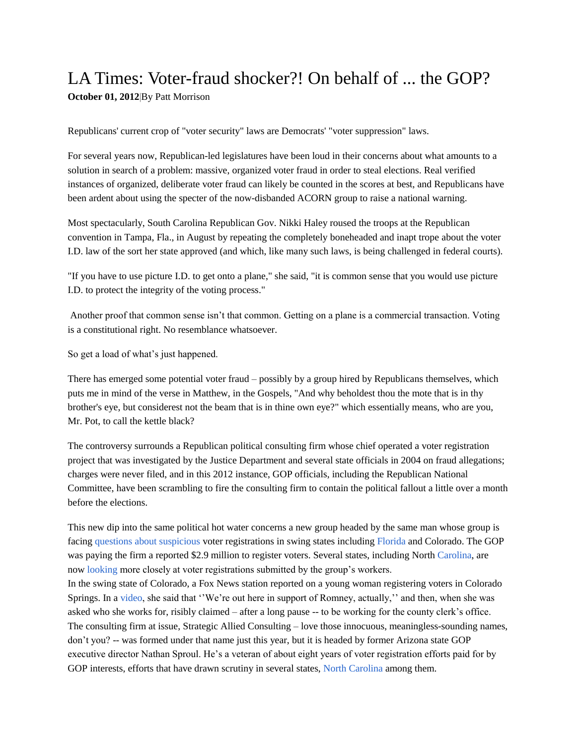## LA Times: Voter-fraud shocker?! On behalf of ... the GOP?

**[October](http://articles.latimes.com/2012/oct/01) 01, 2012**|By Patt Morrison

Republicans' current crop of "voter security" laws are Democrats' "voter suppression" laws.

For several years now, Republican-led legislatures have been loud in their concerns about what amounts to a solution in search of a problem: massive, organized voter fraud in order to steal elections. Real verified instances of organized, deliberate voter fraud can likely be counted in the scores at best, and Republicans have been ardent about using the specter of the now-disbanded ACORN group to raise a national warning.

Most spectacularly, South Carolina Republican Gov. Nikki Haley roused the troops at the Republican convention in Tampa, Fla., in August by repeating the completely boneheaded and inapt trope about the voter I.D. law of the sort her state approved (and which, like many such laws, is being challenged in federal courts).

"If you have to use picture I.D. to get onto a plane," she said, "it is common sense that you would use picture I.D. to protect the integrity of the voting process."

Another proof that common sense isn't that common. Getting on a plane is a commercial transaction. Voting is a constitutional right. No resemblance whatsoever.

So get a load of what's just happened.

There has emerged some potential voter fraud – possibly by a group hired by Republicans themselves, which puts me in mind of the verse in Matthew, in the Gospels, "And why beholdest thou the mote that is in thy brother's eye, but considerest not the beam that is in thine own eye?" which essentially means, who are you, Mr. Pot, to call the kettle black?

The controversy surrounds a Republican political consulting firm whose chief operated a voter registration project that was investigated by the Justice Department and several state officials in 2004 on fraud allegations; charges were never filed, and in this 2012 instance, GOP officials, including the Republican National Committee, have been scrambling to fire the consulting firm to contain the political fallout a little over a month before the elections.

This new dip into the same political hot water concerns a new group headed by the same man whose group is facing questions about [suspicious](http://www.nytimes.com/2012/09/30/us/politics/suspicious-voter-forms-found-in-10-florida-counties.html?partner=rss&emc=rss%20%20%20) voter registrations in swing states including [Florida](http://jacksonville.com/news/florida/2012-10-01/story/florida-investigates-firm-hired-state-gop-over-suspect-voter) and Colorado. The GOP was paying the firm a reported \$2.9 million to register voters. Several states, including North [Carolina,](http://www.kansascity.com/2012/10/01/3842232/north-carolina-to-investigate.html) are now [looking](http://www.newsobserver.com/2012/09/27/2382464/republicans-fire-firm-accused.html) more closely at voter registrations submitted by the group's workers.

In the swing state of Colorado, a Fox News station reported on a young woman registering voters in Colorado Springs. In a [video,](http://fox4kc.com/2012/10/01/consulting-firm-with-gop-ties-fired-over-alleged-voter-fraud/) she said that ''We're out here in support of Romney, actually,'' and then, when she was asked who she works for, risibly claimed – after a long pause -- to be working for the county clerk's office. The consulting firm at issue, Strategic Allied Consulting – love those innocuous, meaningless-sounding names, don't you? -- was formed under that name just this year, but it is headed by former Arizona state GOP executive director Nathan Sproul. He's a veteran of about eight years of voter registration efforts paid for by GOP interests, efforts that have drawn scrutiny in several states, North [Carolina](http://www.charlotteobserver.com/2012/10/01/3569683/north-carolina-to-investigate.html#storylink=cpy) among them.